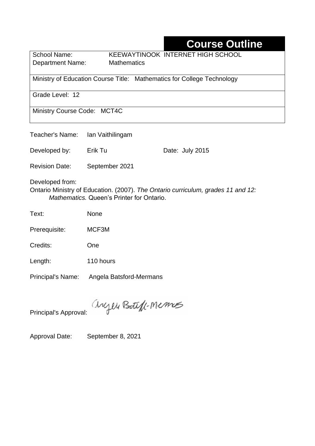# **Course Outline**

Department Name:Mathematics

School Name: KEEWAYTINOOK INTERNET HIGH SCHOOL

Ministry of Education Course Title:Mathematics for College Technology

Grade Level: 12

Ministry Course Code: MCT4C

| Teacher's Name: Ian Vaithilingam |                |                                                                                  |  |
|----------------------------------|----------------|----------------------------------------------------------------------------------|--|
| Developed by:                    | Erik Tu        | Date: July 2015                                                                  |  |
| <b>Revision Date:</b>            | September 2021 |                                                                                  |  |
| Developed from:                  |                | Ontario Ministry of Education. (2007). The Ontario curriculum, grades 11 and 12: |  |

*Mathematics.* Queen's Printer for Ontario.

Text: None

Prerequisite: MCF3M

Credits: One

Length: 110 hours

Principal's Name: Angela Batsford-Mermans

anyen Boteff-Memos

Principal's Approval:

Approval Date: September 8, 2021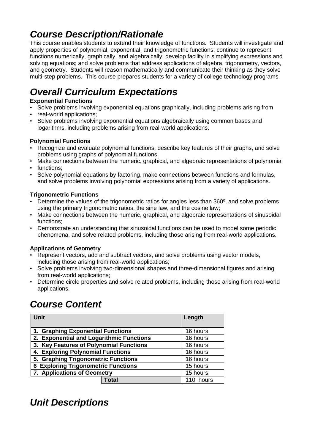# *Course Description/Rationale*

This course enables students to extend their knowledge of functions. Students will investigate and apply properties of polynomial, exponential, and trigonometric functions; continue to represent functions numerically, graphically, and algebraically; develop facility in simplifying expressions and solving equations; and solve problems that address applications of algebra, trigonometry, vectors, and geometry. Students will reason mathematically and communicate their thinking as they solve multi-step problems. This course prepares students for a variety of college technology programs.

# *Overall Curriculum Expectations*

### **Exponential Functions**

- Solve problems involving exponential equations graphically, including problems arising from
- real-world applications:
- Solve problems involving exponential equations algebraically using common bases and logarithms, including problems arising from real-world applications.

### **Polynomial Functions**

- Recognize and evaluate polynomial functions, describe key features of their graphs, and solve problems using graphs of polynomial functions;
- Make connections between the numeric, graphical, and algebraic representations of polynomial
- functions:
- Solve polynomial equations by factoring, make connections between functions and formulas, and solve problems involving polynomial expressions arising from a variety of applications.

### **Trigonometric Functions**

- Determine the values of the trigonometric ratios for angles less than 360º, and solve problems using the primary trigonometric ratios, the sine law, and the cosine law;
- Make connections between the numeric, graphical, and algebraic representations of sinusoidal functions;
- Demonstrate an understanding that sinusoidal functions can be used to model some periodic phenomena, and solve related problems, including those arising from real-world applications.

### **Applications of Geometry**

- Represent vectors, add and subtract vectors, and solve problems using vector models, including those arising from real-world applications;
- Solve problems involving two-dimensional shapes and three-dimensional figures and arising from real-world applications;
- Determine circle properties and solve related problems, including those arising from real-world applications.

# *Course Content*

| Unit                                          | Length    |
|-----------------------------------------------|-----------|
| 1. Graphing Exponential Functions             | 16 hours  |
| 2. Exponential and Logarithmic Functions      | 16 hours  |
| 3. Key Features of Polynomial Functions       | 16 hours  |
| 4. Exploring Polynomial Functions             | 16 hours  |
| 5. Graphing Trigonometric Functions           | 16 hours  |
| <b>Exploring Trigonometric Functions</b><br>6 | 15 hours  |
| 7. Applications of Geometry                   | 15 hours  |
| <b>Total</b>                                  | 110 hours |

## *Unit Descriptions*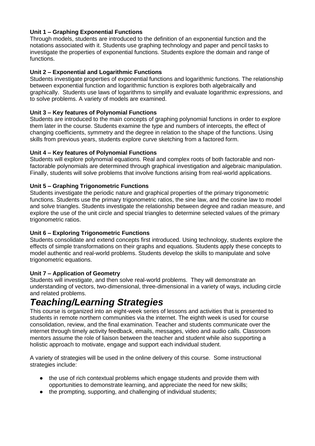#### **Unit 1 – Graphing Exponential Functions**

Through models, students are introduced to the definition of an exponential function and the notations associated with it. Students use graphing technology and paper and pencil tasks to investigate the properties of exponential functions. Students explore the domain and range of functions.

#### **Unit 2 – Exponential and Logarithmic Functions**

Students investigate properties of exponential functions and logarithmic functions. The relationship between exponential function and logarithmic function is explores both algebraically and graphically. Students use laws of logarithms to simplify and evaluate logarithmic expressions, and to solve problems. A variety of models are examined.

#### **Unit 3 – Key features of Polynomial Functions**

Students are introduced to the main concepts of graphing polynomial functions in order to explore them later in the course. Students examine the type and numbers of intercepts, the effect of changing coefficients, symmetry and the degree in relation to the shape of the functions. Using skills from previous years, students explore curve sketching from a factored form.

#### **Unit 4 – Key features of Polynomial Functions**

Students will explore polynomial equations. Real and complex roots of both factorable and nonfactorable polynomials are determined through graphical investigation and algebraic manipulation. Finally, students will solve problems that involve functions arising from real-world applications.

#### **Unit 5 – Graphing Trigonometric Functions**

Students investigate the periodic nature and graphical properties of the primary trigonometric functions. Students use the primary trigonometric ratios, the sine law, and the cosine law to model and solve triangles. Students investigate the relationship between degree and radian measure, and explore the use of the unit circle and special triangles to determine selected values of the primary trigonometric ratios.

#### **Unit 6 – Exploring Trigonometric Functions**

Students consolidate and extend concepts first introduced. Using technology, students explore the effects of simple transformations on their graphs and equations. Students apply these concepts to model authentic and real-world problems. Students develop the skills to manipulate and solve trigonometric equations.

#### **Unit 7 – Application of Geometry**

Students will investigate, and then solve real-world problems. They will demonstrate an understanding of vectors, two-dimensional, three-dimensional in a variety of ways, including circle and related problems.

## *Teaching/Learning Strategies*

This course is organized into an eight-week series of lessons and activities that is presented to students in remote northern communities via the internet. The eighth week is used for course consolidation, review, and the final examination. Teacher and students communicate over the internet through timely activity feedback, emails, messages, video and audio calls. Classroom mentors assume the role of liaison between the teacher and student while also supporting a holistic approach to motivate, engage and support each individual student.

A variety of strategies will be used in the online delivery of this course. Some instructional strategies include:

- the use of rich contextual problems which engage students and provide them with opportunities to demonstrate learning, and appreciate the need for new skills;
- the prompting, supporting, and challenging of individual students;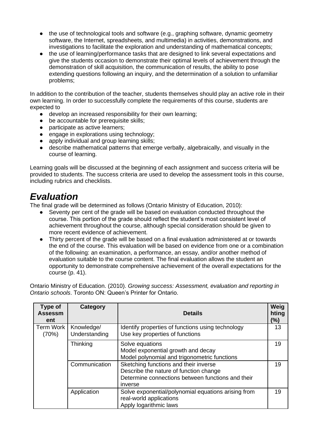- the use of technological tools and software (e.g., graphing software, dynamic geometry software, the Internet, spreadsheets, and multimedia) in activities, demonstrations, and investigations to facilitate the exploration and understanding of mathematical concepts;
- the use of learning/performance tasks that are designed to link several expectations and give the students occasion to demonstrate their optimal levels of achievement through the demonstration of skill acquisition, the communication of results, the ability to pose extending questions following an inquiry, and the determination of a solution to unfamiliar problems;

In addition to the contribution of the teacher, students themselves should play an active role in their own learning. In order to successfully complete the requirements of this course, students are expected to<br>a deve

- develop an increased responsibility for their own learning:
- be accountable for prerequisite skills;
- participate as active learners;
- engage in explorations using technology;
- apply individual and group learning skills;
- describe mathematical patterns that emerge verbally, algebraically, and visually in the course of learning.

Learning goals will be discussed at the beginning of each assignment and success criteria will be provided to students. The success criteria are used to develop the assessment tools in this course, including rubrics and checklists.

## *Evaluation*

The final grade will be determined as follows (Ontario Ministry of Education, 2010):

- Seventy per cent of the grade will be based on evaluation conducted throughout the course. This portion of the grade should reflect the student's most consistent level of achievement throughout the course, although special consideration should be given to more recent evidence of achievement.
- Thirty percent of the grade will be based on a final evaluation administered at or towards the end of the course. This evaluation will be based on evidence from one or a combination of the following: an examination, a performance, an essay, and/or another method of evaluation suitable to the course content. The final evaluation allows the student an opportunity to demonstrate comprehensive achievement of the overall expectations for the course (p. 41).

Ontario Ministry of Education. (2010). *Growing success: Assessment, evaluation and reporting in Ontario schools*. Toronto ON: Queen's Printer for Ontario.

| Type of<br><b>Assessm</b><br>ent | Category                    | <b>Details</b>                                                                                                                                  | Weig<br>hting<br>(%) |
|----------------------------------|-----------------------------|-------------------------------------------------------------------------------------------------------------------------------------------------|----------------------|
| Term Work<br>(70%)               | Knowledge/<br>Understanding | Identify properties of functions using technology<br>Use key properties of functions                                                            | 13                   |
|                                  | <b>Thinking</b>             | Solve equations<br>Model exponential growth and decay<br>Model polynomial and trigonometric functions                                           | 19                   |
|                                  | Communication               | Sketching functions and their inverse<br>Describe the nature of function change<br>Determine connections between functions and their<br>inverse | 19                   |
|                                  | Application                 | Solve exponential/polynomial equations arising from<br>real-world applications<br>Apply logarithmic laws                                        | 19                   |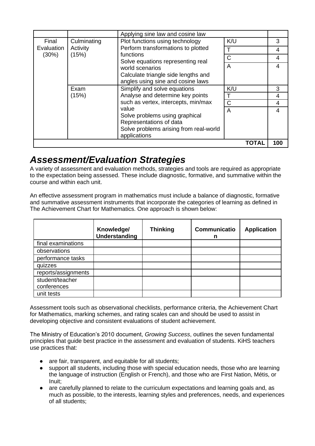|                              |                                  | Applying sine law and cosine law                                                                                                                                                                                       |       |                |
|------------------------------|----------------------------------|------------------------------------------------------------------------------------------------------------------------------------------------------------------------------------------------------------------------|-------|----------------|
| Final<br>Evaluation<br>(30%) | Culminating<br>Activity<br>(15%) | Plot functions using technology<br>Perform transformations to plotted<br>functions<br>Solve equations representing real<br>world scenarios<br>Calculate triangle side lengths and<br>angles using sine and cosine laws | K/U   | 3              |
|                              |                                  |                                                                                                                                                                                                                        | т     | 4              |
|                              |                                  |                                                                                                                                                                                                                        | C     | $\overline{4}$ |
|                              |                                  |                                                                                                                                                                                                                        | A     | 4              |
|                              |                                  |                                                                                                                                                                                                                        |       |                |
|                              | Exam<br>(15%)                    | Simplify and solve equations<br>Analyse and determine key points<br>such as vertex, intercepts, min/max<br>value                                                                                                       | K/U   | 3              |
|                              |                                  |                                                                                                                                                                                                                        | T     | 4              |
|                              |                                  |                                                                                                                                                                                                                        | Ć     | 4              |
|                              |                                  |                                                                                                                                                                                                                        | A     | 4              |
|                              |                                  | Solve problems using graphical                                                                                                                                                                                         |       |                |
|                              |                                  | Representations of data                                                                                                                                                                                                |       |                |
|                              |                                  | Solve problems arising from real-world<br>applications                                                                                                                                                                 |       |                |
|                              |                                  |                                                                                                                                                                                                                        | ΤΟΤΑΙ | 100            |

### *Assessment/Evaluation Strategies*

A variety of assessment and evaluation methods, strategies and tools are required as appropriate to the expectation being assessed. These include diagnostic, formative, and summative within the course and within each unit.

An effective assessment program in mathematics must include a balance of diagnostic, formative and summative assessment instruments that incorporate the categories of learning as defined in The Achievement Chart for Mathematics. One approach is shown below:

|                                | Knowledge/<br>Understanding | <b>Thinking</b> | Communicatio<br>n | <b>Application</b> |
|--------------------------------|-----------------------------|-----------------|-------------------|--------------------|
| final examinations             |                             |                 |                   |                    |
| observations                   |                             |                 |                   |                    |
| performance tasks              |                             |                 |                   |                    |
| quizzes                        |                             |                 |                   |                    |
| reports/assignments            |                             |                 |                   |                    |
| student/teacher<br>conferences |                             |                 |                   |                    |
| unit tests                     |                             |                 |                   |                    |

Assessment tools such as observational checklists, performance criteria, the Achievement Chart for Mathematics, marking schemes, and rating scales can and should be used to assist in developing objective and consistent evaluations of student achievement.

The Ministry of Education's 2010 document, *Growing Success*, outlines the seven fundamental principles that guide best practice in the assessment and evaluation of students. KiHS teachers use practices that:

- are fair, transparent, and equitable for all students;
- support all students, including those with special education needs, those who are learning the language of instruction (English or French), and those who are First Nation, Métis, or Inuit;
- are carefully planned to relate to the curriculum expectations and learning goals and, as much as possible, to the interests, learning styles and preferences, needs, and experiences of all students;